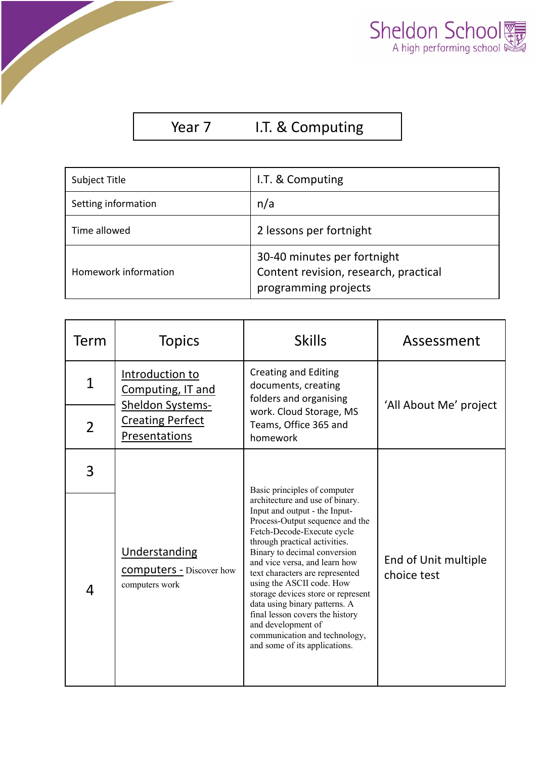

## Year 7 I.T. & Computing

| Subject Title        | I.T. & Computing                                                                             |  |
|----------------------|----------------------------------------------------------------------------------------------|--|
| Setting information  | n/a                                                                                          |  |
| Time allowed         | 2 lessons per fortnight                                                                      |  |
| Homework information | 30-40 minutes per fortnight<br>Content revision, research, practical<br>programming projects |  |

| Term           | <b>Topics</b>                                                              | <b>Skills</b>                                                                                                                                                                                                                                                                                                                                                                                                                                                                                         | Assessment                          |
|----------------|----------------------------------------------------------------------------|-------------------------------------------------------------------------------------------------------------------------------------------------------------------------------------------------------------------------------------------------------------------------------------------------------------------------------------------------------------------------------------------------------------------------------------------------------------------------------------------------------|-------------------------------------|
| $\mathbf 1$    | Introduction to<br>Computing, IT and                                       | <b>Creating and Editing</b><br>documents, creating<br>folders and organising                                                                                                                                                                                                                                                                                                                                                                                                                          |                                     |
| $\overline{2}$ | <b>Sheldon Systems-</b><br><b>Creating Perfect</b><br><b>Presentations</b> | work. Cloud Storage, MS<br>Teams, Office 365 and<br>homework                                                                                                                                                                                                                                                                                                                                                                                                                                          | 'All About Me' project              |
| 3              |                                                                            | Basic principles of computer                                                                                                                                                                                                                                                                                                                                                                                                                                                                          |                                     |
| 4              | <b>Understanding</b><br><b>COMPUTERS - Discover how</b><br>computers work  | architecture and use of binary.<br>Input and output - the Input-<br>Process-Output sequence and the<br>Fetch-Decode-Execute cycle<br>through practical activities.<br>Binary to decimal conversion<br>and vice versa, and learn how<br>text characters are represented<br>using the ASCII code. How<br>storage devices store or represent<br>data using binary patterns. A<br>final lesson covers the history<br>and development of<br>communication and technology,<br>and some of its applications. | End of Unit multiple<br>choice test |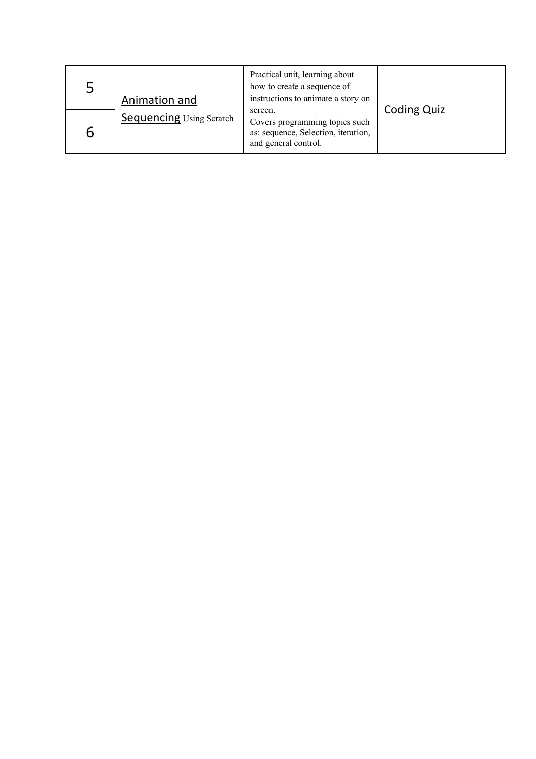| $\mathsf{L}$ | Animation and                   | Practical unit, learning about<br>how to create a sequence of<br>instructions to animate a story on      |                    |
|--------------|---------------------------------|----------------------------------------------------------------------------------------------------------|--------------------|
| b            | <b>Sequencing Using Scratch</b> | screen.<br>Covers programming topics such<br>as: sequence, Selection, iteration,<br>and general control. | <b>Coding Quiz</b> |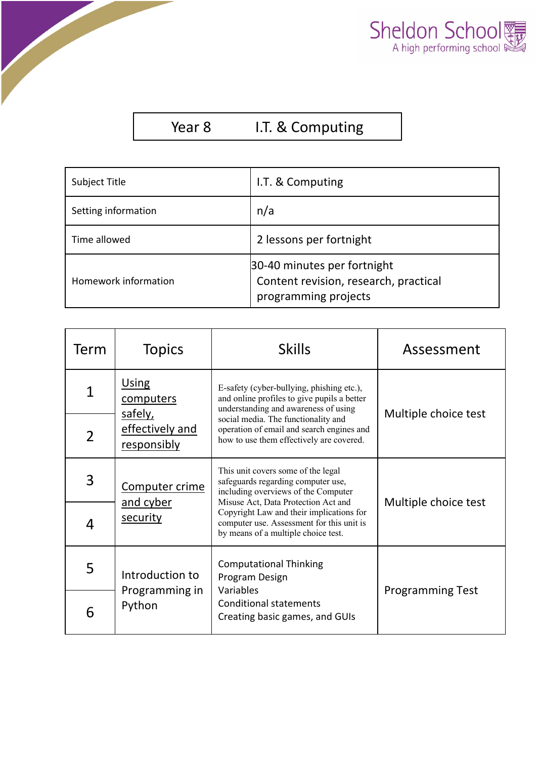

## Year 8 I.T. & Computing

| Subject Title        | I.T. & Computing                                                                             |  |
|----------------------|----------------------------------------------------------------------------------------------|--|
| Setting information  | n/a                                                                                          |  |
| Time allowed         | 2 lessons per fortnight                                                                      |  |
| Homework information | 30-40 minutes per fortnight<br>Content revision, research, practical<br>programming projects |  |

| Term                          | <b>Topics</b>                                                   | <b>Skills</b>                                                                                                                                          | Assessment              |
|-------------------------------|-----------------------------------------------------------------|--------------------------------------------------------------------------------------------------------------------------------------------------------|-------------------------|
| $\overline{1}$                | <b>Using</b><br>computers                                       | E-safety (cyber-bullying, phishing etc.),<br>and online profiles to give pupils a better<br>understanding and awareness of using                       |                         |
| $\overline{2}$                | safely,<br>effectively and<br>responsibly                       | social media. The functionality and<br>operation of email and search engines and<br>how to use them effectively are covered.                           | Multiple choice test    |
| 3                             | Computer crime<br>and cyber                                     | This unit covers some of the legal<br>safeguards regarding computer use,<br>including overviews of the Computer<br>Misuse Act, Data Protection Act and | Multiple choice test    |
| 4                             | security                                                        | Copyright Law and their implications for<br>computer use. Assessment for this unit is<br>by means of a multiple choice test.                           |                         |
| 5                             | Introduction to                                                 | <b>Computational Thinking</b><br>Program Design<br>Variables                                                                                           | <b>Programming Test</b> |
| Programming in<br>Python<br>6 | <b>Conditional statements</b><br>Creating basic games, and GUIs |                                                                                                                                                        |                         |